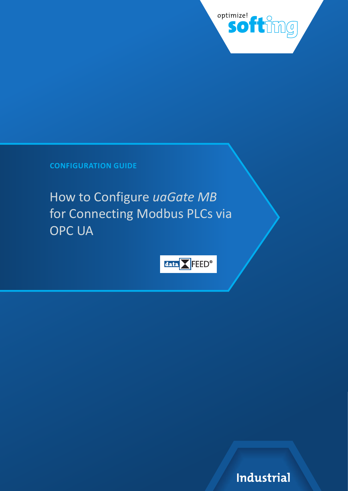

**CONFIGURATION GUIDE**

How to Configure *uaGate MB*  for Connecting Modbus PLCs via OPC UA



Industrial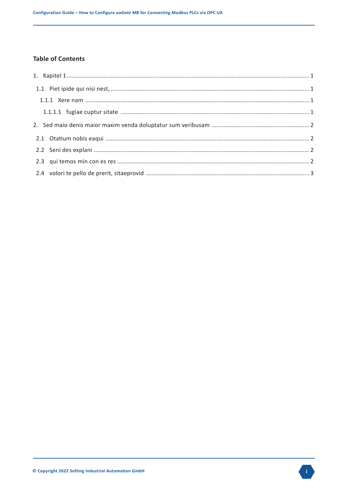## **Table of Contents**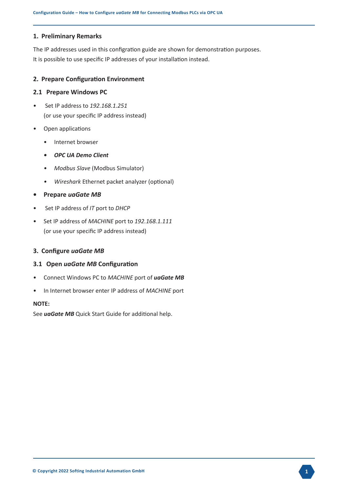#### **1. Preliminary Remarks**

The IP addresses used in this configration guide are shown for demonstration purposes. It is possible to use specific IP addresses of your installation instead.

### **2. Prepare Configuration Environment**

#### **2.1 Prepare Windows PC**

- Set IP address to *192.168.1.251* (or use your specific IP address instead)
- Open applications
	- Internet browser
	- *• OPC UA Demo Client*
	- *• Modbus Slave* (Modbus Simulator)
	- *• Wireshark* Ethernet packet analyzer (optional)
- **• Prepare** *uaGate MB*
- Set IP address of *IT* port to *DHCP*
- Set IP address of *MACHINE* port to *192.168.1.111* (or use your specific IP address instead)

### **3. Configure** *uaGate MB*

### **3.1 Open** *uaGate MB* **Configuration**

- Connect Windows PC to *MACHINE* port of *uaGate MB*
- In Internet browser enter IP address of *MACHINE* port

### **NOTE:**

See *uaGate MB* Quick Start Guide for additional help.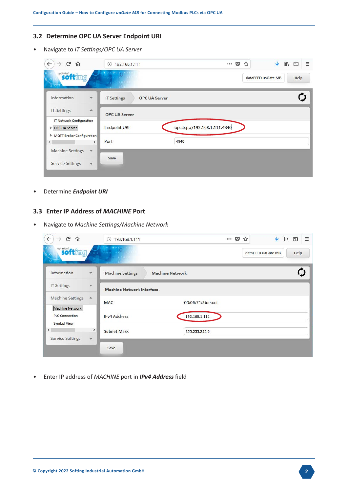## **3.2 Determine OPC UA Server Endpoint URI**

• Navigate to *IT Settings/OPC UA Server*

| G<br>$\leftarrow$<br>⋒<br>$\rightarrow$              | $^\circledR$<br>192.168.1.111                         | 0.0.0<br>▽<br>☆              | ◫<br>Ξ<br>ए<br>$\parallel$ |
|------------------------------------------------------|-------------------------------------------------------|------------------------------|----------------------------|
| softimuel softimg<br>$\overline{O}$ $\overline{O}$   | $0.1001 - 1.110$<br><b>COLOR INC.</b><br>0.1101110010 |                              | dataFEED uaGate MB<br>Help |
| Information<br>$\mathbf{w}$                          | <b>OPC UA Server</b><br><b>IT Settings</b>            |                              |                            |
| <b>IT Settings</b><br>A.                             | <b>OPC UA Server</b>                                  |                              |                            |
| <b>IT Network Configuration</b>                      |                                                       |                              |                            |
| ▶ OPC UA Server                                      | <b>Endpoint URI</b>                                   | opc.tcp://192.168.1.111:4840 |                            |
| MQTT Broker Configuration<br>$\leq$<br>$\rightarrow$ | Port                                                  | 4840                         |                            |
| <b>Machine Settings</b><br>$\overline{\mathbf{v}}$   |                                                       |                              |                            |
| <b>Service Settings</b><br>$\overline{\mathbf{v}}$   | Save                                                  |                              |                            |

• Determine *Endpoint URI*

## **3.3 Enter IP Address of** *MACHINE* **Port**

• Navigate to *Machine Settings/Machine Network*

| G<br>$\leftarrow$<br>$\rightarrow$<br>⋒ |                                    | $^\circledR$<br>192.168.1.111                |                        |                   | <br>$\overline{\mathbf{v}}$<br>☆ |                    | ▥<br>l۱۱ | Ξ    |
|-----------------------------------------|------------------------------------|----------------------------------------------|------------------------|-------------------|----------------------------------|--------------------|----------|------|
| <b>softimal</b><br>0 <sup>o</sup>       |                                    | $0.1001 - 1.11$<br>00101 11<br>ord of a tool |                        |                   |                                  | dataFEED uaGate MB |          | Help |
| Information                             | $\overline{\Psi}$                  | <b>Machine Settings</b>                      | <b>Machine Network</b> |                   |                                  |                    |          |      |
| <b>IT Settings</b>                      | v                                  | <b>Machine Network Interface</b>             |                        |                   |                                  |                    |          |      |
| <b>Machine Settings</b>                 | 盀                                  | <b>MAC</b>                                   |                        | 00:06:71:3b:ea:cf |                                  |                    |          |      |
| Machine Network                         |                                    |                                              |                        |                   |                                  |                    |          |      |
| <b>PLC Connection</b><br>Symbol View    |                                    | <b>IPv4 Address</b>                          |                        | 192.168.1.111     |                                  |                    |          |      |
| $\langle$<br><b>Service Settings</b>    | $\rightarrow$<br>$\overline{\Psi}$ | <b>Subnet Mask</b>                           |                        | 255.255.255.0     |                                  |                    |          |      |
|                                         |                                    | Save                                         |                        |                   |                                  |                    |          |      |

• Enter IP address of *MACHINE* port in *IPv4 Address* field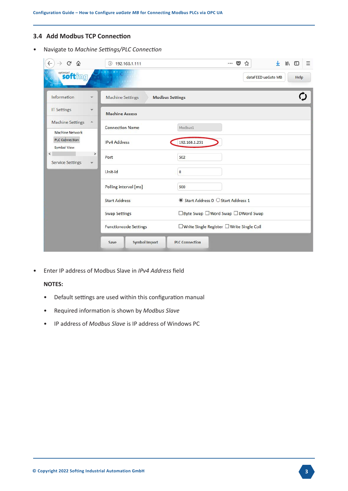## **3.4 Add Modbus TCP Connection**

• Navigate to *Machine Settings/PLC Connection*

| ≃                                                       | $\odot$<br>192.168.1.111     | <b>III</b><br>v.<br>1977<br>0.0.0<br>松      | Ξ    |
|---------------------------------------------------------|------------------------------|---------------------------------------------|------|
| <b>softimized</b><br>$\sigma$                           |                              | dataFEED uaGate MB                          | Help |
| Information<br>$\mathbf{v}$                             | <b>Machine Settings</b>      | <b>Modbus Settings</b>                      |      |
| <b>IT Settings</b><br>$\overline{\mathbf{v}}$           | <b>Machine Access</b>        |                                             |      |
| <b>Machine Settings</b><br>a.<br><b>Machine Network</b> | <b>Connection Name</b>       | Modbus1                                     |      |
| <b>PLC Connection</b><br>Symbol View                    | <b>IPv4 Address</b>          | 192.168.1.251                               |      |
| $\langle$<br><b>Service Settings</b><br>Ψ               | $\rightarrow$<br>Port        | 502                                         |      |
|                                                         | Unit-Id                      | $\bf{0}$                                    |      |
|                                                         | Polling interval [ms]        | 500                                         |      |
|                                                         | <b>Start Address</b>         | ◉ Start Address 0 ○ Start Address 1         |      |
|                                                         | <b>Swap Settings</b>         | □ Byte Swap □ Word Swap □ DWord Swap        |      |
|                                                         | <b>Functioncode Settings</b> | □ Write Single Register □ Write Single Coil |      |
|                                                         | <b>Symbol Import</b><br>Save | <b>PLC Connection</b>                       |      |

• Enter IP address of Modbus Slave in *IPv4 Address* field

## **NOTES:**

- Default settings are used within this configuration manual
- Required information is shown by *Modbus Slave*
- IP address of *Modbus Slave* is IP address of Windows PC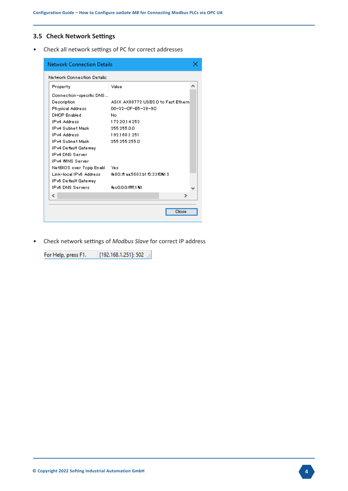## **3.5 Check Network Settings**

• Check all network settings of PC for correct addresses

| Network Connection Details   |                                    |   |  |  |  |  |
|------------------------------|------------------------------------|---|--|--|--|--|
| Network Connection Details:  |                                    |   |  |  |  |  |
| Property                     | Value                              | ∧ |  |  |  |  |
| Connection-specific DNS      |                                    |   |  |  |  |  |
| Description                  | ASIX AX88772 USB2.0 to Fast Ethern |   |  |  |  |  |
| Physical Address             | 00-22-CF-E5-39-9C                  |   |  |  |  |  |
| <b>DHCP</b> Enabled          | No.                                |   |  |  |  |  |
| IPv4 Address                 | 172.2014.252                       |   |  |  |  |  |
| IPv4 Subnet Mask             | 255.255.0.0                        |   |  |  |  |  |
| IPv4 Address                 | 1921681251                         |   |  |  |  |  |
| IPv4 Subnet Mask             | 255.255.255.0                      |   |  |  |  |  |
| IPv4 Default Gateway         |                                    |   |  |  |  |  |
| IPv4 DNS Server              |                                    |   |  |  |  |  |
| IPv4 WNS Server              |                                    |   |  |  |  |  |
| NetBIOS over Topip Enabl Yes |                                    |   |  |  |  |  |
| Link-local IPv6_Address      | fe80::ff aa:5683:b1 f2:33fD%12     |   |  |  |  |  |
| IPv6 Default Gateway         |                                    |   |  |  |  |  |
| IPv6 DNS Servers             | felc0:0:0:ffff:1 %1                |   |  |  |  |  |
| ∢                            | ъ                                  |   |  |  |  |  |
|                              |                                    |   |  |  |  |  |
|                              | Close                              |   |  |  |  |  |
|                              |                                    |   |  |  |  |  |

• Check network settings of *Modbus Slave* for correct IP address

For Help, press F1. [192.168.1.251]: 502 [1]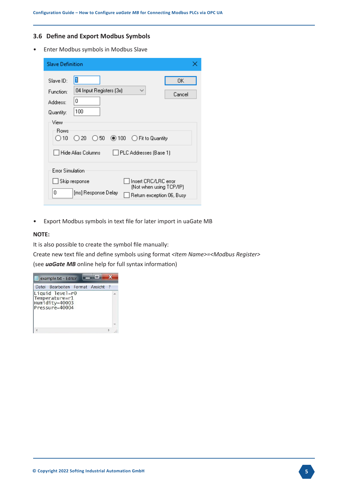## **3.6 Define and Export Modbus Symbols**

• Enter Modbus symbols in Modbus Slave

| <b>Slave Definition</b>                                                                                                                                                   |                                                                              |
|---------------------------------------------------------------------------------------------------------------------------------------------------------------------------|------------------------------------------------------------------------------|
| 11<br>Slave ID:<br>04 Input Registers [3x]<br>Function:<br>۵<br>Address:<br>100<br>Quantity:<br>View<br>Rows<br>$\odot$ 100<br>()50<br>()20<br>10<br>  Hide Alias Columns | 0K<br>$\checkmark$<br>Cancel<br>◯ Fit to Quantity<br>PLC Addresses (Base 1)  |
| <b>Error Simulation</b><br>Skip response<br>0<br>[ms] Response Delay                                                                                                      | Insert CRC/LRC error<br>(Not when using TCP/IP)<br>Return exception 06, Busy |

• Export Modbus symbols in text file for later import in uaGate MB

### **NOTE:**

It is also possible to create the symbol file manually:

Create new text file and define symbols using format *<Item Name>=<Modbus Register>* (see *uaGate MB* online help for full syntax information)

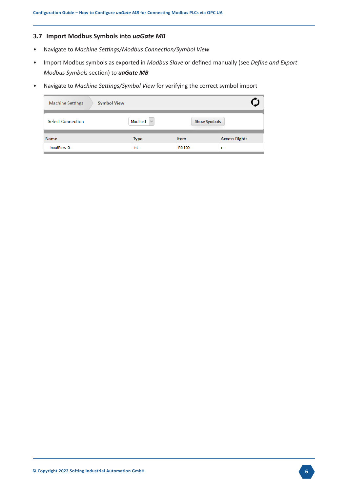# **3.7 Import Modbus Symbols into** *uaGate MB*

- Navigate to *Machine Settings/Modbus Connection/Symbol View*
- Import Modbus symbols as exported in *Modbus Slave* or defined manually (see *Define and Export Modbus Symbols* section) to *uaGate MB*
- Navigate to *Machine Settings/Symbol View* for verifying the correct symbol import

| <b>Symbol View</b><br><b>Machine Settings</b> |                                    |                     |                      |
|-----------------------------------------------|------------------------------------|---------------------|----------------------|
| <b>Select Connection</b>                      | Modbus1<br>$\overline{\mathbf{v}}$ | <b>Show Symbols</b> |                      |
| <b>Name</b>                                   | Type                               | <b>Item</b>         | <b>Access Rights</b> |
| InputRegs_0                                   | Int                                | IRO.100             | г                    |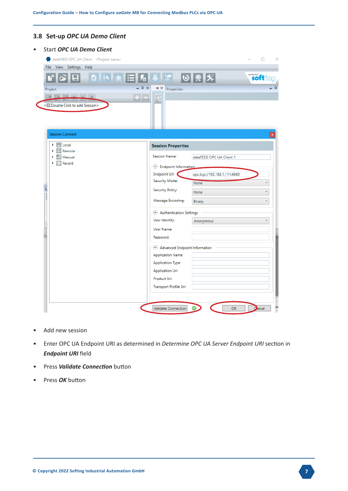## **3.8 Set-up** *OPC UA Demo Client*

| View Settings Help<br><b>File</b>                                 |                                                          |                              |                       |
|-------------------------------------------------------------------|----------------------------------------------------------|------------------------------|-----------------------|
| Н<br>p                                                            | $-4 \times$<br>$\Rightarrow$ $\times$<br>Properties      | ₩┃▒┃╳┃                       | <b>softimizel</b>     |
| Project<br><b>FEED BREAKING</b><br>< Double Click to add Session> | $+ -$                                                    |                              |                       |
| <b>Session Connect</b>                                            |                                                          |                              |                       |
| <b>R</b> Local<br><b><i>C</i></b> Remote                          | <b>Session Properties</b>                                |                              |                       |
| - Manual                                                          | <b>Session Name:</b>                                     | dataFEED OPC UA Client 1     |                       |
| Recent<br>r                                                       | <b>A</b> Endpoint Information                            |                              |                       |
|                                                                   | Endpoint Url:                                            | opc.tcp://192.168.1.111:4840 |                       |
| $\overline{N}$                                                    | Security Mode:                                           | None                         | $\check{\phantom{a}}$ |
|                                                                   | <b>Security Policy:</b>                                  | None                         | v                     |
|                                                                   | Message Encoding:                                        | Binary                       | v                     |
|                                                                   | Authentication Settings                                  |                              |                       |
|                                                                   | User Identity:                                           | Anonymous                    | v                     |
|                                                                   | <b>User Name:</b>                                        |                              |                       |
|                                                                   | Password:                                                |                              |                       |
|                                                                   | Advanced Endpoint Information<br><b>Application Name</b> |                              |                       |
|                                                                   | <b>Application Type</b>                                  |                              |                       |
|                                                                   | Application Uri                                          |                              |                       |
|                                                                   | Product Uri                                              |                              |                       |
|                                                                   |                                                          |                              |                       |

- Add new session
- Enter OPC UA Endpoint URI as determined in *Determine OPC UA Server Endpoint URI* section in *Endpoint URI* field
- Press *Validate Connection* button
- Press *OK* button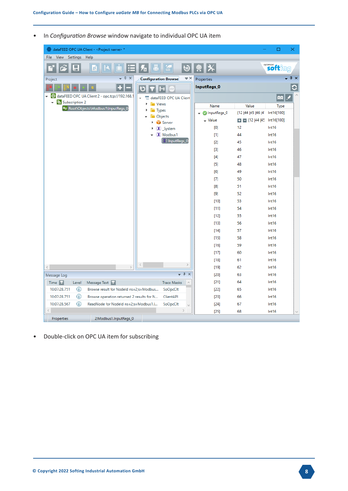• In *Configuration Browse* window navigate to individual OPC UA item

| dataFEED OPC UA Client - < Project name> *                              |                                                       |               |                            | □                 | ×                |
|-------------------------------------------------------------------------|-------------------------------------------------------|---------------|----------------------------|-------------------|------------------|
| Settings<br>Help<br>File<br><b>View</b>                                 |                                                       |               |                            |                   |                  |
| a<br>P                                                                  | O                                                     | Ⅸ             |                            | <b>softimize!</b> |                  |
| $\sqrt{4}$ $\times$<br>÷<br>Project                                     | $\Rightarrow$ $\times$<br><b>Configuration Browse</b> | Properties    |                            |                   | - <del>1</del> x |
| ÷<br>н                                                                  | l-i<br>TOP                                            | InputRegs_0   |                            |                   | С                |
| $\bullet$<br>dataFEED OPC UA Client 2 - opc.tcp://192.168.1<br>÷        | dataFEED OPC UA Client                                |               |                            | <b>AAI</b>        |                  |
| Subscription 2<br>$\overline{\phantom{a}}$                              | <b>Niews</b>                                          | Name          | Value                      | Type              |                  |
| ≈ Root\Objects\Modbus1\InputRegs_0                                      | <b>Types</b>                                          | O InputRegs_0 | {12   44   45   46   41    | Int16[100]        |                  |
|                                                                         | Objects<br>Server                                     | $\sim$ Value  | ■ 图 {12  44  45 Int16[100] |                   |                  |
|                                                                         | $(X)$ System                                          | [0]           | 12                         | Int16             |                  |
|                                                                         | $(X)$ Modbus1                                         | $[1]$         | 44                         | Int16             |                  |
|                                                                         | (X) InputRegs_0                                       | [2]           | 45                         | Int16             |                  |
|                                                                         |                                                       | $[3]$         | 46                         | Int16             |                  |
|                                                                         |                                                       | $[4]$         | 47                         | Int16             |                  |
|                                                                         |                                                       | $[5]$         | 48                         | Int16             |                  |
|                                                                         |                                                       | [6]           | 49                         | Int16             |                  |
|                                                                         |                                                       | $[7]$         | 50                         | Int16             |                  |
|                                                                         |                                                       | [8]           | 51                         | Int16             |                  |
|                                                                         |                                                       |               | 52                         | Int16             |                  |
|                                                                         |                                                       | $[10]$        | 53                         | Int16             |                  |
|                                                                         |                                                       | [11]          | 54                         | Int16             |                  |
|                                                                         |                                                       | $[12]$        | 55                         | Int16             |                  |
|                                                                         |                                                       | [13]          | 56                         | Int16             |                  |
|                                                                         |                                                       | $[14]$        | 57                         | Int16             |                  |
|                                                                         |                                                       | [15]          | 58                         | Int16             |                  |
|                                                                         |                                                       | $[16]$        | 59                         | Int16             |                  |
|                                                                         |                                                       | [17]          | 60                         | Int16             |                  |
|                                                                         |                                                       | $[18]$        | 61                         | Int16             |                  |
| $\zeta$<br>$\langle$<br>$\mathcal{P}$                                   | $\,$                                                  | [19]          | 62                         | Int16             |                  |
| Message Log                                                             | $\sqrt{4}$                                            | [20]          | 63                         | Int16             |                  |
| Time $\vert \tau \vert$<br>Level<br>Message Text 7                      | <b>Trace Masks</b><br>$\land$                         | [21]          | 64                         | Int16             |                  |
| $\odot$<br>10:07:28.751<br>Browse result for Nodeld ns=2;s=Modbus       | SoOpcClt                                              | [22]          | 65                         | Int16             |                  |
| $\bigcirc$<br>10:07:28.751<br>Browse operation returned 2 results for N | ClientAPI                                             | [23]          | 66                         | Int16             |                  |
| ⊕<br>10:07:28.567<br>ReadNode for Nodeld ns=2;s=Modbus1.I               | SoOpcClt                                              | $[24]$        | 67                         | Int16             |                  |
|                                                                         | $\mathcal{L}$                                         | [25]          | 68                         | Int16             |                  |
| 2:Modbus1.InputRegs_0<br>Properties                                     |                                                       |               |                            |                   |                  |

• Double-click on OPC UA item for subscribing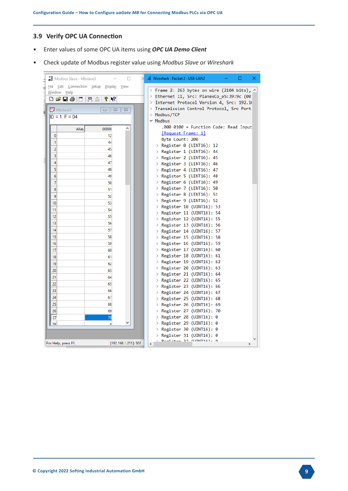## **3.9 Verify OPC UA Connection**

- Enter values of some OPC UA items using *OPC UA Demo Client*
- Check update of Modbus register value using *Modbus Slave* or *Wireshark*

|    |    | Modbus Slave - Mbslave3             |                                                      | □                    | Wireshark · Packet 2 · USB-LAN2<br>□<br>×                                                                                           |
|----|----|-------------------------------------|------------------------------------------------------|----------------------|-------------------------------------------------------------------------------------------------------------------------------------|
| Fİ |    | Window Help<br>d 2 le<br>n          | File Edit Connection Setup Display<br> 見直<br>Y<br>12 | View                 | > Frame 2: 263 bytes on wire (2104 bits), <u>^</u><br>> Ethernet II, Src: PlanexCo_e5:39:9c (00                                     |
| 51 |    | <b>Mbslave3</b><br>$ID = 1: F = 04$ | ▣<br>$\qquad \qquad \Box$                            | $\Sigma$             | Internet Protocol Version 4, Src: 192.16<br>≻<br>Transmission Control Protocol, Src Port<br>≻<br>Modbus/TCP<br>><br>$\times$ Modbus |
|    |    | Alias                               | 00000                                                | ۸                    | .000 0100 = Function Code: Read Input                                                                                               |
|    | 0  |                                     | 12                                                   |                      | <b>Request Frame: 11</b>                                                                                                            |
|    | 1  |                                     | 44                                                   |                      | Byte Count: 200                                                                                                                     |
|    | 2  |                                     | 45                                                   |                      | > Register 0 (UINT16): 12                                                                                                           |
|    | 3  |                                     | 46                                                   |                      | > Register 1 (UINT16): 44                                                                                                           |
|    | 4  |                                     | 47                                                   |                      | > Register 2 (UINT16): 45                                                                                                           |
|    | 5  |                                     | 48                                                   |                      | > Register 3 (UINT16): 46                                                                                                           |
|    | 6  |                                     | 49                                                   |                      | > Register 4 (UINT16): 47<br>> Register 5 (UINT16): 48                                                                              |
|    | 7  |                                     | 50                                                   |                      | > Register 6 (UINT16): 49                                                                                                           |
|    | 8  |                                     | 51                                                   |                      | > Register 7 (UINT16): 50                                                                                                           |
|    | 9  |                                     | 52                                                   |                      | > Register 8 (UINT16): 51                                                                                                           |
|    | 10 |                                     | 53                                                   |                      | > Register 9 (UINT16): 52                                                                                                           |
|    | 11 |                                     | 54                                                   |                      | > Register 10 (UINT16): 53                                                                                                          |
|    | 12 |                                     | 55                                                   |                      | > Register 11 (UINT16): 54                                                                                                          |
|    | 13 |                                     | 56                                                   |                      | > Register 12 (UINT16): 55                                                                                                          |
|    | 14 |                                     | 57                                                   |                      | > Register 13 (UINT16): 56                                                                                                          |
|    | 15 |                                     | 58                                                   |                      | > Register 14 (UINT16): 57<br>> Register 15 (UINT16): 58                                                                            |
|    | 16 |                                     | 59                                                   |                      | > Register 16 (UINT16): 59                                                                                                          |
|    | 17 |                                     | 60                                                   |                      | > Register 17 (UINT16): 60                                                                                                          |
|    | 18 |                                     | 61                                                   |                      | > Register 18 (UINT16): 61                                                                                                          |
|    | 19 |                                     | 62                                                   |                      | > Register 19 (UINT16): 62                                                                                                          |
|    | 20 |                                     | 63                                                   |                      | > Register 20 (UINT16): 63                                                                                                          |
|    | 21 |                                     | 64                                                   |                      | > Register 21 (UINT16): 64                                                                                                          |
|    | 22 |                                     | 65                                                   |                      | > Register 22 (UINT16): 65                                                                                                          |
|    | 23 |                                     | 66                                                   |                      | > Register 23 (UINT16): 66                                                                                                          |
|    | 24 |                                     | 67                                                   |                      | > Register 24 (UINT16): 67<br>> Register 25 (UINT16): 68                                                                            |
|    | 25 |                                     | 68                                                   |                      | > Register 26 (UINT16): 69                                                                                                          |
|    | 26 |                                     | 69                                                   |                      | Register 27 (UINT16): 70<br>≻                                                                                                       |
|    | 27 |                                     | 70                                                   |                      | Register 28 (UINT16): 0<br>≻                                                                                                        |
|    | 28 |                                     | n                                                    |                      | Register 29 (UINT16): 0<br>≻                                                                                                        |
|    |    |                                     |                                                      |                      | Register 30 (UINT16): 0<br>≻                                                                                                        |
|    |    |                                     |                                                      |                      | Register 31 (UINT16): 0<br>≻                                                                                                        |
|    |    | For Help, press F1.                 |                                                      | [192.168.1.251]: 502 | $D$ ominina 30 (UTNT16), Q<br>$\overline{\phantom{a}}$<br>$\rightarrow$                                                             |